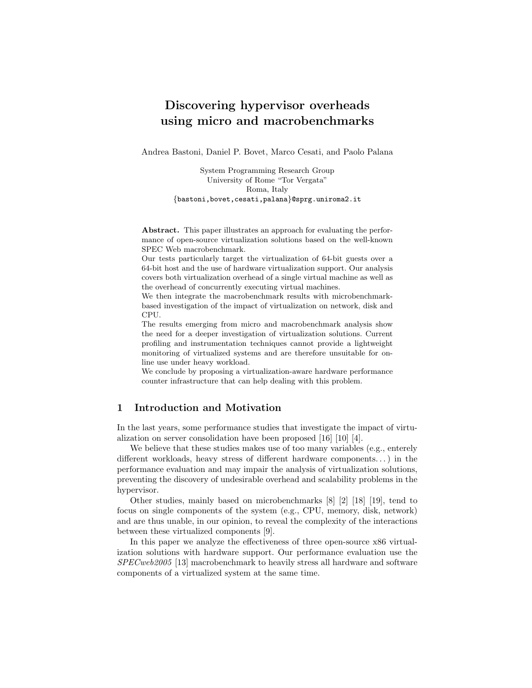# Discovering hypervisor overheads using micro and macrobenchmarks

Andrea Bastoni, Daniel P. Bovet, Marco Cesati, and Paolo Palana

System Programming Research Group University of Rome "Tor Vergata" Roma, Italy {bastoni,bovet,cesati,palana}@sprg.uniroma2.it

Abstract. This paper illustrates an approach for evaluating the performance of open-source virtualization solutions based on the well-known SPEC Web macrobenchmark.

Our tests particularly target the virtualization of 64-bit guests over a 64-bit host and the use of hardware virtualization support. Our analysis covers both virtualization overhead of a single virtual machine as well as the overhead of concurrently executing virtual machines.

We then integrate the macrobenchmark results with microbenchmarkbased investigation of the impact of virtualization on network, disk and CPU.

The results emerging from micro and macrobenchmark analysis show the need for a deeper investigation of virtualization solutions. Current profiling and instrumentation techniques cannot provide a lightweight monitoring of virtualized systems and are therefore unsuitable for online use under heavy workload.

We conclude by proposing a virtualization-aware hardware performance counter infrastructure that can help dealing with this problem.

# 1 Introduction and Motivation

In the last years, some performance studies that investigate the impact of virtualization on server consolidation have been proposed [16] [10] [4].

We believe that these studies makes use of too many variables (e.g., enterely different workloads, heavy stress of different hardware components. . . ) in the performance evaluation and may impair the analysis of virtualization solutions, preventing the discovery of undesirable overhead and scalability problems in the hypervisor.

Other studies, mainly based on microbenchmarks [8] [2] [18] [19], tend to focus on single components of the system (e.g., CPU, memory, disk, network) and are thus unable, in our opinion, to reveal the complexity of the interactions between these virtualized components [9].

In this paper we analyze the effectiveness of three open-source x86 virtualization solutions with hardware support. Our performance evaluation use the SPECweb2005 [13] macrobenchmark to heavily stress all hardware and software components of a virtualized system at the same time.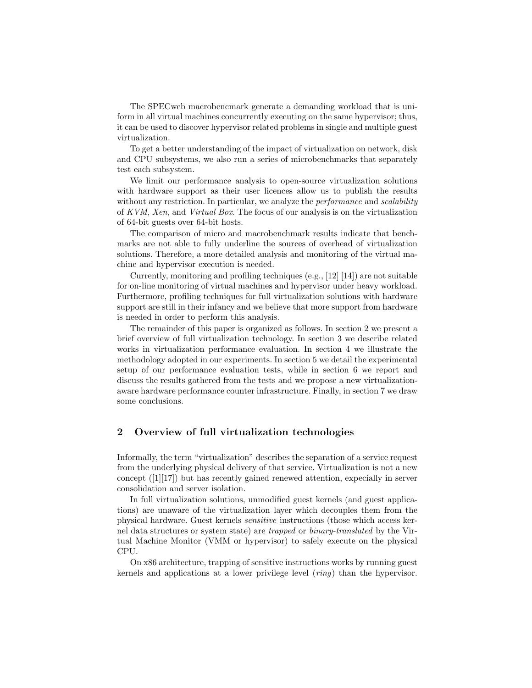The SPECweb macrobencmark generate a demanding workload that is uniform in all virtual machines concurrently executing on the same hypervisor; thus, it can be used to discover hypervisor related problems in single and multiple guest virtualization.

To get a better understanding of the impact of virtualization on network, disk and CPU subsystems, we also run a series of microbenchmarks that separately test each subsystem.

We limit our performance analysis to open-source virtualization solutions with hardware support as their user licences allow us to publish the results without any restriction. In particular, we analyze the *performance* and *scalability* of KVM, Xen, and Virtual Box. The focus of our analysis is on the virtualization of 64-bit guests over 64-bit hosts.

The comparison of micro and macrobenchmark results indicate that benchmarks are not able to fully underline the sources of overhead of virtualization solutions. Therefore, a more detailed analysis and monitoring of the virtual machine and hypervisor execution is needed.

Currently, monitoring and profiling techniques (e.g., [12] [14]) are not suitable for on-line monitoring of virtual machines and hypervisor under heavy workload. Furthermore, profiling techniques for full virtualization solutions with hardware support are still in their infancy and we believe that more support from hardware is needed in order to perform this analysis.

The remainder of this paper is organized as follows. In section 2 we present a brief overview of full virtualization technology. In section 3 we describe related works in virtualization performance evaluation. In section 4 we illustrate the methodology adopted in our experiments. In section 5 we detail the experimental setup of our performance evaluation tests, while in section 6 we report and discuss the results gathered from the tests and we propose a new virtualizationaware hardware performance counter infrastructure. Finally, in section 7 we draw some conclusions.

# 2 Overview of full virtualization technologies

Informally, the term "virtualization" describes the separation of a service request from the underlying physical delivery of that service. Virtualization is not a new concept ([1][17]) but has recently gained renewed attention, expecially in server consolidation and server isolation.

In full virtualization solutions, unmodified guest kernels (and guest applications) are unaware of the virtualization layer which decouples them from the physical hardware. Guest kernels sensitive instructions (those which access kernel data structures or system state) are trapped or binary-translated by the Virtual Machine Monitor (VMM or hypervisor) to safely execute on the physical CPU.

On x86 architecture, trapping of sensitive instructions works by running guest kernels and applications at a lower privilege level (ring) than the hypervisor.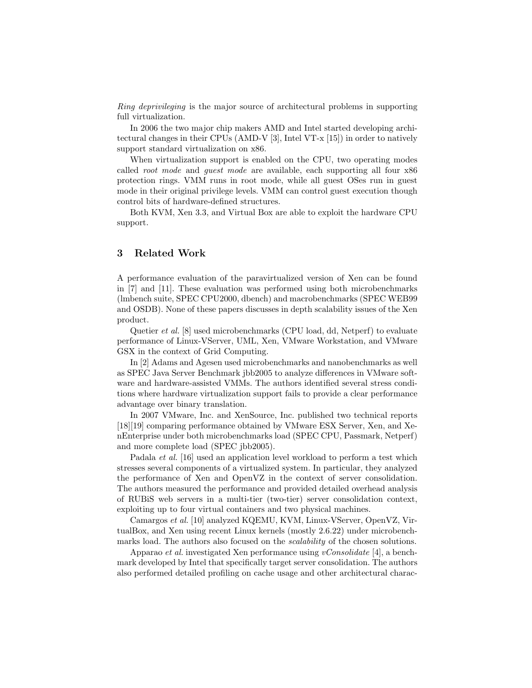Ring deprivileging is the major source of architectural problems in supporting full virtualization.

In 2006 the two major chip makers AMD and Intel started developing architectural changes in their CPUs (AMD-V [3], Intel VT-x [15]) in order to natively support standard virtualization on x86.

When virtualization support is enabled on the CPU, two operating modes called root mode and guest mode are available, each supporting all four x86 protection rings. VMM runs in root mode, while all guest OSes run in guest mode in their original privilege levels. VMM can control guest execution though control bits of hardware-defined structures.

Both KVM, Xen 3.3, and Virtual Box are able to exploit the hardware CPU support.

# 3 Related Work

A performance evaluation of the paravirtualized version of Xen can be found in [7] and [11]. These evaluation was performed using both microbenchmarks (lmbench suite, SPEC CPU2000, dbench) and macrobenchmarks (SPEC WEB99 and OSDB). None of these papers discusses in depth scalability issues of the Xen product.

Quetier et al. [8] used microbenchmarks (CPU load, dd, Netperf) to evaluate performance of Linux-VServer, UML, Xen, VMware Workstation, and VMware GSX in the context of Grid Computing.

In [2] Adams and Agesen used microbenchmarks and nanobenchmarks as well as SPEC Java Server Benchmark jbb2005 to analyze differences in VMware software and hardware-assisted VMMs. The authors identified several stress conditions where hardware virtualization support fails to provide a clear performance advantage over binary translation.

In 2007 VMware, Inc. and XenSource, Inc. published two technical reports [18][19] comparing performance obtained by VMware ESX Server, Xen, and XenEnterprise under both microbenchmarks load (SPEC CPU, Passmark, Netperf) and more complete load (SPEC jbb2005).

Padala et al. [16] used an application level workload to perform a test which stresses several components of a virtualized system. In particular, they analyzed the performance of Xen and OpenVZ in the context of server consolidation. The authors measured the performance and provided detailed overhead analysis of RUBiS web servers in a multi-tier (two-tier) server consolidation context, exploiting up to four virtual containers and two physical machines.

Camargos et al. [10] analyzed KQEMU, KVM, Linux-VServer, OpenVZ, VirtualBox, and Xen using recent Linux kernels (mostly 2.6.22) under microbenchmarks load. The authors also focused on the *scalability* of the chosen solutions.

Apparao *et al.* investigated Xen performance using *vConsolidate* [4], a benchmark developed by Intel that specifically target server consolidation. The authors also performed detailed profiling on cache usage and other architectural charac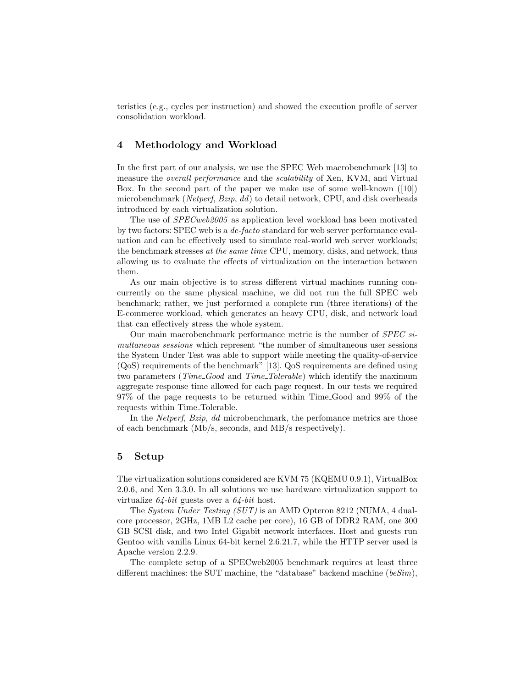teristics (e.g., cycles per instruction) and showed the execution profile of server consolidation workload.

# 4 Methodology and Workload

In the first part of our analysis, we use the SPEC Web macrobenchmark [13] to measure the *overall performance* and the *scalability* of Xen, KVM, and Virtual Box. In the second part of the paper we make use of some well-known ([10]) microbenchmark (Netperf, Bzip, dd) to detail network, CPU, and disk overheads introduced by each virtualization solution.

The use of SPECweb2005 as application level workload has been motivated by two factors: SPEC web is a de-facto standard for web server performance evaluation and can be effectively used to simulate real-world web server workloads; the benchmark stresses at the same time CPU, memory, disks, and network, thus allowing us to evaluate the effects of virtualization on the interaction between them.

As our main objective is to stress different virtual machines running concurrently on the same physical machine, we did not run the full SPEC web benchmark; rather, we just performed a complete run (three iterations) of the E-commerce workload, which generates an heavy CPU, disk, and network load that can effectively stress the whole system.

Our main macrobenchmark performance metric is the number of SPEC simultaneous sessions which represent "the number of simultaneous user sessions the System Under Test was able to support while meeting the quality-of-service (QoS) requirements of the benchmark" [13]. QoS requirements are defined using two parameters (*Time\_Good* and *Time\_Tolerable*) which identify the maximum aggregate response time allowed for each page request. In our tests we required 97% of the page requests to be returned within Time Good and 99% of the requests within Time Tolerable.

In the Netperf, Bzip, dd microbenchmark, the perfomance metrics are those of each benchmark (Mb/s, seconds, and MB/s respectively).

### 5 Setup

The virtualization solutions considered are KVM 75 (KQEMU 0.9.1), VirtualBox 2.0.6, and Xen 3.3.0. In all solutions we use hardware virtualization support to virtualize  $64$ -bit guests over a  $64$ -bit host.

The System Under Testing (SUT) is an AMD Opteron 8212 (NUMA, 4 dualcore processor, 2GHz, 1MB L2 cache per core), 16 GB of DDR2 RAM, one 300 GB SCSI disk, and two Intel Gigabit network interfaces. Host and guests run Gentoo with vanilla Linux 64-bit kernel 2.6.21.7, while the HTTP server used is Apache version 2.2.9.

The complete setup of a SPECweb2005 benchmark requires at least three different machines: the SUT machine, the "database" backend machine  $(beSim)$ ,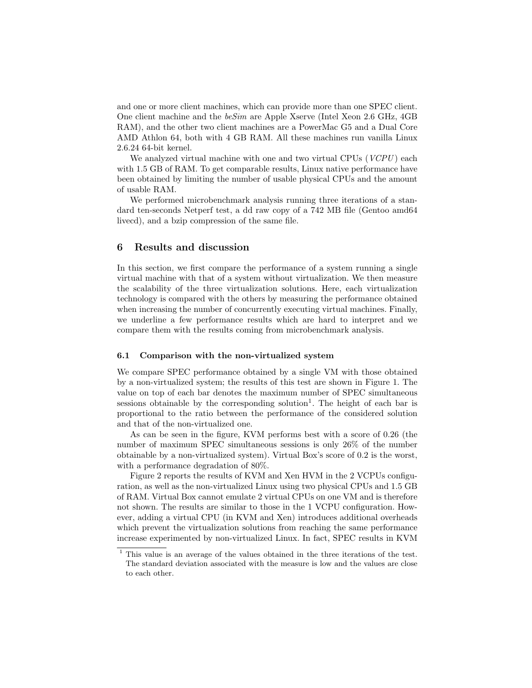and one or more client machines, which can provide more than one SPEC client. One client machine and the beSim are Apple Xserve (Intel Xeon 2.6 GHz, 4GB RAM), and the other two client machines are a PowerMac G5 and a Dual Core AMD Athlon 64, both with 4 GB RAM. All these machines run vanilla Linux 2.6.24 64-bit kernel.

We analyzed virtual machine with one and two virtual CPUs  $(VCPU)$  each with 1.5 GB of RAM. To get comparable results, Linux native performance have been obtained by limiting the number of usable physical CPUs and the amount of usable RAM.

We performed microbenchmark analysis running three iterations of a standard ten-seconds Netperf test, a dd raw copy of a 742 MB file (Gentoo amd64 livecd), and a bzip compression of the same file.

## 6 Results and discussion

In this section, we first compare the performance of a system running a single virtual machine with that of a system without virtualization. We then measure the scalability of the three virtualization solutions. Here, each virtualization technology is compared with the others by measuring the performance obtained when increasing the number of concurrently executing virtual machines. Finally, we underline a few performance results which are hard to interpret and we compare them with the results coming from microbenchmark analysis.

#### 6.1 Comparison with the non-virtualized system

We compare SPEC performance obtained by a single VM with those obtained by a non-virtualized system; the results of this test are shown in Figure 1. The value on top of each bar denotes the maximum number of SPEC simultaneous sessions obtainable by the corresponding solution<sup>1</sup>. The height of each bar is proportional to the ratio between the performance of the considered solution and that of the non-virtualized one.

As can be seen in the figure, KVM performs best with a score of 0.26 (the number of maximum SPEC simultaneous sessions is only 26% of the number obtainable by a non-virtualized system). Virtual Box's score of 0.2 is the worst, with a performance degradation of 80%.

Figure 2 reports the results of KVM and Xen HVM in the 2 VCPUs configuration, as well as the non-virtualized Linux using two physical CPUs and 1.5 GB of RAM. Virtual Box cannot emulate 2 virtual CPUs on one VM and is therefore not shown. The results are similar to those in the 1 VCPU configuration. However, adding a virtual CPU (in KVM and Xen) introduces additional overheads which prevent the virtualization solutions from reaching the same performance increase experimented by non-virtualized Linux. In fact, SPEC results in KVM

<sup>1</sup> This value is an average of the values obtained in the three iterations of the test. The standard deviation associated with the measure is low and the values are close to each other.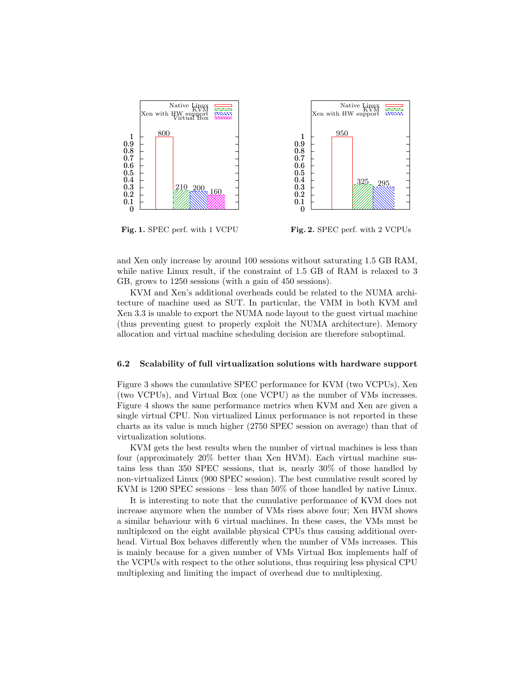

Fig. 1. SPEC perf. with 1 VCPU

Fig. 2. SPEC perf. with 2 VCPUs

and Xen only increase by around 100 sessions without saturating 1.5 GB RAM, while native Linux result, if the constraint of 1.5 GB of RAM is relaxed to 3 GB, grows to 1250 sessions (with a gain of 450 sessions).

KVM and Xen's additional overheads could be related to the NUMA architecture of machine used as SUT. In particular, the VMM in both KVM and Xen 3.3 is unable to export the NUMA node layout to the guest virtual machine (thus preventing guest to properly exploit the NUMA architecture). Memory allocation and virtual machine scheduling decision are therefore suboptimal.

#### 6.2 Scalability of full virtualization solutions with hardware support

Figure 3 shows the cumulative SPEC performance for KVM (two VCPUs), Xen (two VCPUs), and Virtual Box (one VCPU) as the number of VMs increases. Figure 4 shows the same performance metrics when KVM and Xen are given a single virtual CPU. Non virtualized Linux performance is not reported in these charts as its value is much higher (2750 SPEC session on average) than that of virtualization solutions.

KVM gets the best results when the number of virtual machines is less than four (approximately 20% better than Xen HVM). Each virtual machine sustains less than 350 SPEC sessions, that is, nearly 30% of those handled by non-virtualized Linux (900 SPEC session). The best cumulative result scored by KVM is 1200 SPEC sessions – less than 50% of those handled by native Linux.

It is interesting to note that the cumulative performance of KVM does not increase anymore when the number of VMs rises above four; Xen HVM shows a similar behaviour with 6 virtual machines. In these cases, the VMs must be multiplexed on the eight available physical CPUs thus causing additional overhead. Virtual Box behaves differently when the number of VMs increases. This is mainly because for a given number of VMs Virtual Box implements half of the VCPUs with respect to the other solutions, thus requiring less physical CPU multiplexing and limiting the impact of overhead due to multiplexing.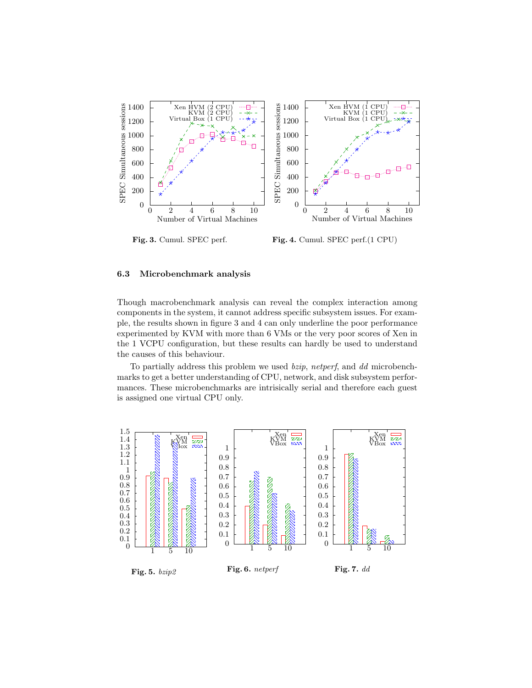

Fig. 3. Cumul. SPEC perf.

Fig. 4. Cumul. SPEC perf.(1 CPU)

#### 6.3 Microbenchmark analysis

Though macrobenchmark analysis can reveal the complex interaction among components in the system, it cannot address specific subsystem issues. For example, the results shown in figure 3 and 4 can only underline the poor performance experimented by KVM with more than 6 VMs or the very poor scores of Xen in the 1 VCPU configuration, but these results can hardly be used to understand the causes of this behaviour.

To partially address this problem we used bzip, netperf, and dd microbenchmarks to get a better understanding of CPU, network, and disk subsystem performances. These microbenchmarks are intrisically serial and therefore each guest is assigned one virtual CPU only.

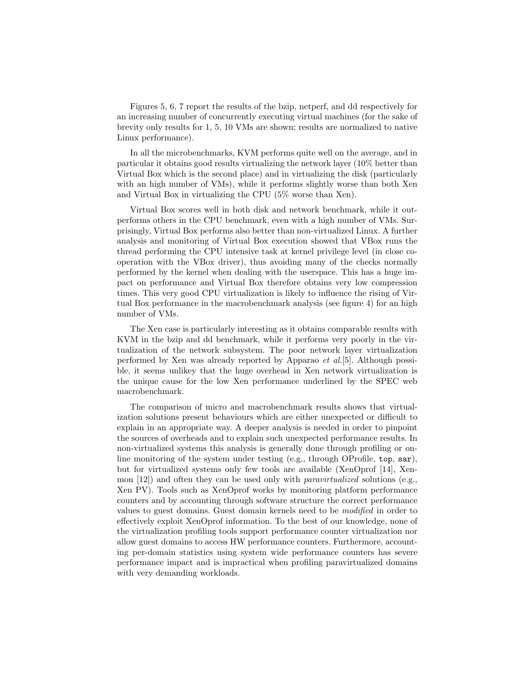Figures 5, 6, 7 report the results of the bzip, netperf, and dd respectively for an increasing number of concurrently executing virtual machines (for the sake of brevity only results for 1, 5, 10 VMs are shown; results are normalized to native Linux performance).

In all the microbenchmarks, KVM performs quite well on the average, and in particular it obtains good results virtualizing the network layer (10% better than Virtual Box which is the second place) and in virtualizing the disk (particularly with an high number of VMs), while it performs slightly worse than both Xen and Virtual Box in virtualizing the CPU (5% worse than Xen).

Virtual Box scores well in both disk and network benchmark, while it outperforms others in the CPU benchmark, even with a high number of VMs. Surprisingly, Virtual Box performs also better than non-virtualized Linux. A further analysis and monitoring of Virtual Box execution showed that VBox runs the thread performing the CPU intensive task at kernel privilege level (in close cooperation with the VBox driver), thus avoiding many of the checks normally performed by the kernel when dealing with the userspace. This has a huge impact on performance and Virtual Box therefore obtains very low compression times. This very good CPU virtualization is likely to influence the rising of Virtual Box performance in the macrobenchmark analysis (see figure 4) for an high number of VMs.

The Xen case is particularly interesting as it obtains comparable results with KVM in the bzip and dd benchmark, while it performs very poorly in the virtualization of the network subsystem. The poor network layer virtualization performed by Xen was already reported by Apparao et al.[5]. Although possible, it seems unlikey that the huge overhead in Xen network virtualization is the unique cause for the low Xen performance underlined by the SPEC web macrobenchmark.

The comparison of micro and macrobenchmark results shows that virtualization solutions present behaviours which are either unexpected or difficult to explain in an appropriate way. A deeper analysis is needed in order to pinpoint the sources of overheads and to explain such unexpected performance results. In non-virtualized systems this analysis is generally done through profiling or online monitoring of the system under testing (e.g., through OProfile, top, sar), but for virtualized systems only few tools are available (XenOprof [14], Xenmon  $[12]$ ) and often they can be used only with *paravirtualized* solutions (e.g., Xen PV). Tools such as XenOprof works by monitoring platform performance counters and by accounting through software structure the correct performance values to guest domains. Guest domain kernels need to be modified in order to effectively exploit XenOprof information. To the best of our knowledge, none of the virtualization profiling tools support performance counter virtualization nor allow guest domains to access HW performance counters. Furthermore, accounting per-domain statistics using system wide performance counters has severe performance impact and is impractical when profiling paravirtualized domains with very demanding workloads.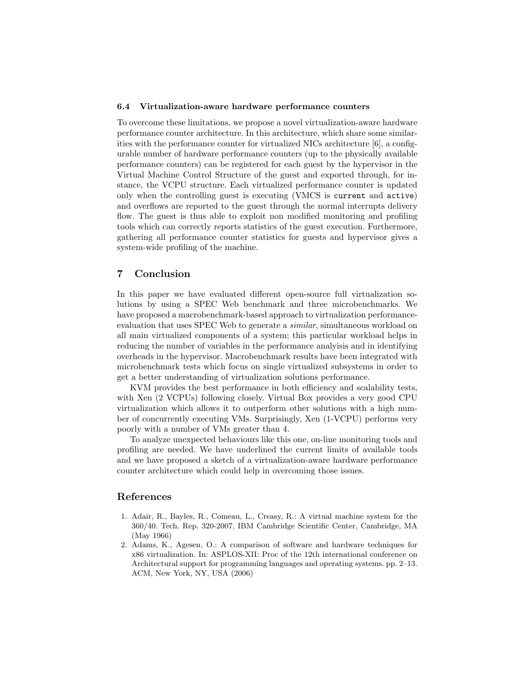#### 6.4 Virtualization-aware hardware performance counters

To overcome these limitations, we propose a novel virtualization-aware hardware performance counter architecture. In this architecture, which share some similarities with the performance counter for virtualized NICs architecture [6], a configurable number of hardware performance counters (up to the physically available performance counters) can be registered for each guest by the hypervisor in the Virtual Machine Control Structure of the guest and exported through, for instance, the VCPU structure. Each virtualized performance counter is updated only when the controlling guest is executing (VMCS is current and active) and overflows are reported to the guest through the normal interrupts delivery flow. The guest is thus able to exploit non modified monitoring and profiling tools which can correctly reports statistics of the guest execution. Furthermore, gathering all performance counter statistics for guests and hypervisor gives a system-wide profiling of the machine.

# 7 Conclusion

In this paper we have evaluated different open-source full virtualization solutions by using a SPEC Web benchmark and three microbenchmarks. We have proposed a macrobenchmark-based approach to virtualization performanceevaluation that uses SPEC Web to generate a *similar*, simultaneous workload on all main virtualized components of a system; this particular workload helps in reducing the number of variables in the performance analyisis and in identifying overheads in the hypervisor. Macrobenchmark results have been integrated with microbenchmark tests which focus on single virtualized subsystems in order to get a better understanding of virtualization solutions performance.

KVM provides the best performance in both efficiency and scalability tests, with Xen (2 VCPUs) following closely. Virtual Box provides a very good CPU virtualization which allows it to outperform other solutions with a high number of concurrently executing VMs. Surprisingly, Xen (1-VCPU) performs very poorly with a number of VMs greater than 4.

To analyze unexpected behaviours like this one, on-line monitoring tools and profiling are needed. We have underlined the current limits of available tools and we have proposed a sketch of a virtualization-aware hardware performance counter architecture which could help in overcoming those issues.

# References

- 1. Adair, R., Bayles, R., Comeau, L., Creasy, R.: A virtual machine system for the 360/40. Tech. Rep. 320-2007, IBM Cambridge Scientific Center, Cambridge, MA (May 1966)
- 2. Adams, K., Agesen, O.: A comparison of software and hardware techniques for x86 virtualization. In: ASPLOS-XII: Proc of the 12th international conference on Architectural support for programming languages and operating systems. pp. 2–13. ACM, New York, NY, USA (2006)